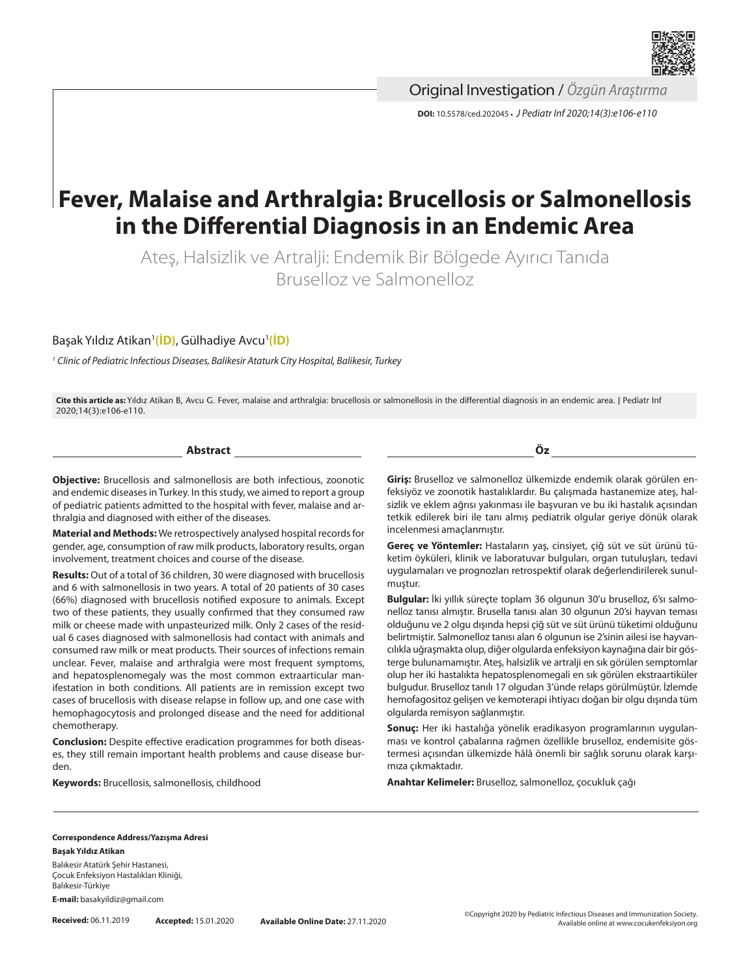

Original Investigation / *Özgün Araştırma*

**DOI:** 10.5578/ced.202045 **•** *J Pediatr Inf 2020;14(3):e106-e110*

# **Fever, Malaise and Arthralgia: Brucellosis or Salmonellosis in the Differential Diagnosis in an Endemic Area**

Ateş, Halsizlik ve Artralji: Endemik Bir Bölgede Ayırıcı Tanıda Bruselloz ve Salmonelloz

Başak Yıldız Atikan1 **[\(İD\)](https://orcid.org/0000-0002-9617-3963)**, Gülhadiye Avcu1 **[\(İD\)](https://orcid.org/0000-0002-0562-3544)**

*<sup>1</sup> Clinic of Pediatric Infectious Diseases, Balikesir Ataturk City Hospital, Balikesir, Turkey*

**Cite this article as:** Yıldız Atikan B, Avcu G. Fever, malaise and arthralgia: brucellosis or salmonellosis in the differential diagnosis in an endemic area. J Pediatr Inf 2020;14(3):e106-e110.

**Abstract**

**Objective:** Brucellosis and salmonellosis are both infectious, zoonotic and endemic diseases in Turkey. In this study, we aimed to report a group of pediatric patients admitted to the hospital with fever, malaise and arthralgia and diagnosed with either of the diseases.

**Material and Methods:** We retrospectively analysed hospital records for gender, age, consumption of raw milk products, laboratory results, organ involvement, treatment choices and course of the disease.

**Results:** Out of a total of 36 children, 30 were diagnosed with brucellosis and 6 with salmonellosis in two years. A total of 20 patients of 30 cases (66%) diagnosed with brucellosis notified exposure to animals. Except two of these patients, they usually confirmed that they consumed raw milk or cheese made with unpasteurized milk. Only 2 cases of the residual 6 cases diagnosed with salmonellosis had contact with animals and consumed raw milk or meat products. Their sources of infections remain unclear. Fever, malaise and arthralgia were most frequent symptoms, and hepatosplenomegaly was the most common extraarticular manifestation in both conditions. All patients are in remission except two cases of brucellosis with disease relapse in follow up, and one case with hemophagocytosis and prolonged disease and the need for additional chemotherapy.

**Conclusion:** Despite effective eradication programmes for both diseases, they still remain important health problems and cause disease burden.

**Keywords:** Brucellosis, salmonellosis, childhood

**Öz**

**Giriş:** Bruselloz ve salmonelloz ülkemizde endemik olarak görülen enfeksiyöz ve zoonotik hastalıklardır. Bu çalışmada hastanemize ateş, halsizlik ve eklem ağrısı yakınması ile başvuran ve bu iki hastalık açısından tetkik edilerek biri ile tanı almış pediatrik olgular geriye dönük olarak incelenmesi amaçlanmıştır.

**Gereç ve Yöntemler:** Hastaların yaş, cinsiyet, çiğ süt ve süt ürünü tüketim öyküleri, klinik ve laboratuvar bulguları, organ tutuluşları, tedavi uygulamaları ve prognozları retrospektif olarak değerlendirilerek sunulmuştur.

**Bulgular:** İki yıllık süreçte toplam 36 olgunun 30'u bruselloz, 6'sı salmonelloz tanısı almıştır. Brusella tanısı alan 30 olgunun 20'si hayvan teması olduğunu ve 2 olgu dışında hepsi çiğ süt ve süt ürünü tüketimi olduğunu belirtmiştir. Salmonelloz tanısı alan 6 olgunun ise 2'sinin ailesi ise hayvancılıkla uğraşmakta olup, diğer olgularda enfeksiyon kaynağına dair bir gösterge bulunamamıştır. Ateş, halsizlik ve artralji en sık görülen semptomlar olup her iki hastalıkta hepatosplenomegali en sık görülen ekstraartiküler bulgudur. Bruselloz tanılı 17 olgudan 3'ünde relaps görülmüştür. İzlemde hemofagositoz gelişen ve kemoterapi ihtiyacı doğan bir olgu dışında tüm olgularda remisyon sağlanmıştır.

**Sonuç:** Her iki hastalığa yönelik eradikasyon programlarının uygulanması ve kontrol çabalarına rağmen özellikle bruselloz, endemisite göstermesi açısından ülkemizde hâlâ önemli bir sağlık sorunu olarak karşımıza çıkmaktadır.

**Anahtar Kelimeler:** Bruselloz, salmonelloz, çocukluk çağı

#### **Correspondence Address/Yazışma Adresi Başak Yıldız Atikan**

Balıkesir Atatürk Şehir Hastanesi, Çocuk Enfeksiyon Hastalıkları Kliniği, Balıkesir-Türkiye

**E-mail:** basakyildiz@gmail.com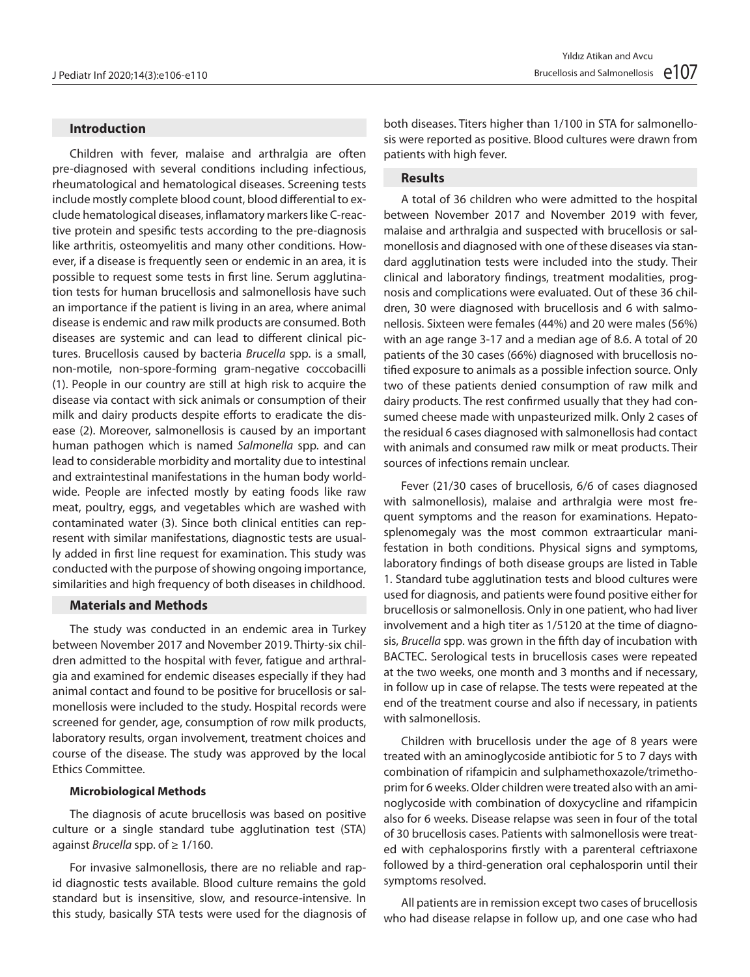## **Introduction**

Children with fever, malaise and arthralgia are often pre-diagnosed with several conditions including infectious, rheumatological and hematological diseases. Screening tests include mostly complete blood count, blood differential to exclude hematological diseases, inflamatory markers like C-reactive protein and spesific tests according to the pre-diagnosis like arthritis, osteomyelitis and many other conditions. However, if a disease is frequently seen or endemic in an area, it is possible to request some tests in first line. Serum agglutination tests for human brucellosis and salmonellosis have such an importance if the patient is living in an area, where animal disease is endemic and raw milk products are consumed. Both diseases are systemic and can lead to different clinical pictures. Brucellosis caused by bacteria *Brucella* spp. is a small, non-motile, non-spore-forming gram-negative coccobacilli (1). People in our country are still at high risk to acquire the disease via contact with sick animals or consumption of their milk and dairy products despite efforts to eradicate the disease (2). Moreover, salmonellosis is caused by an important human pathogen which is named *Salmonella* spp. and can lead to considerable morbidity and mortality due to intestinal and extraintestinal manifestations in the human body worldwide. People are infected mostly by eating foods like raw meat, poultry, eggs, and vegetables which are washed with contaminated water (3). Since both clinical entities can represent with similar manifestations, diagnostic tests are usually added in first line request for examination. This study was conducted with the purpose of showing ongoing importance, similarities and high frequency of both diseases in childhood.

#### **Materials and Methods**

The study was conducted in an endemic area in Turkey between November 2017 and November 2019. Thirty-six children admitted to the hospital with fever, fatigue and arthralgia and examined for endemic diseases especially if they had animal contact and found to be positive for brucellosis or salmonellosis were included to the study. Hospital records were screened for gender, age, consumption of row milk products, laboratory results, organ involvement, treatment choices and course of the disease. The study was approved by the local Ethics Committee.

#### **Microbiological Methods**

The diagnosis of acute brucellosis was based on positive culture or a single standard tube agglutination test (STA) against *Brucella* spp. of ≥ 1/160.

For invasive salmonellosis, there are no reliable and rapid diagnostic tests available. Blood culture remains the gold standard but is insensitive, slow, and resource-intensive. In this study, basically STA tests were used for the diagnosis of both diseases. Titers higher than 1/100 in STA for salmonellosis were reported as positive. Blood cultures were drawn from patients with high fever.

# **Results**

A total of 36 children who were admitted to the hospital between November 2017 and November 2019 with fever, malaise and arthralgia and suspected with brucellosis or salmonellosis and diagnosed with one of these diseases via standard agglutination tests were included into the study. Their clinical and laboratory findings, treatment modalities, prognosis and complications were evaluated. Out of these 36 children, 30 were diagnosed with brucellosis and 6 with salmonellosis. Sixteen were females (44%) and 20 were males (56%) with an age range 3-17 and a median age of 8.6. A total of 20 patients of the 30 cases (66%) diagnosed with brucellosis notified exposure to animals as a possible infection source. Only two of these patients denied consumption of raw milk and dairy products. The rest confirmed usually that they had consumed cheese made with unpasteurized milk. Only 2 cases of the residual 6 cases diagnosed with salmonellosis had contact with animals and consumed raw milk or meat products. Their sources of infections remain unclear.

Fever (21/30 cases of brucellosis, 6/6 of cases diagnosed with salmonellosis), malaise and arthralgia were most frequent symptoms and the reason for examinations. Hepatosplenomegaly was the most common extraarticular manifestation in both conditions. Physical signs and symptoms, laboratory findings of both disease groups are listed in Table 1. Standard tube agglutination tests and blood cultures were used for diagnosis, and patients were found positive either for brucellosis or salmonellosis. Only in one patient, who had liver involvement and a high titer as 1/5120 at the time of diagnosis, *Brucella* spp. was grown in the fifth day of incubation with BACTEC. Serological tests in brucellosis cases were repeated at the two weeks, one month and 3 months and if necessary, in follow up in case of relapse. The tests were repeated at the end of the treatment course and also if necessary, in patients with salmonellosis.

Children with brucellosis under the age of 8 years were treated with an aminoglycoside antibiotic for 5 to 7 days with combination of rifampicin and sulphamethoxazole/trimethoprim for 6 weeks. Older children were treated also with an aminoglycoside with combination of doxycycline and rifampicin also for 6 weeks. Disease relapse was seen in four of the total of 30 brucellosis cases. Patients with salmonellosis were treated with cephalosporins firstly with a parenteral ceftriaxone followed by a third-generation oral cephalosporin until their symptoms resolved.

All patients are in remission except two cases of brucellosis who had disease relapse in follow up, and one case who had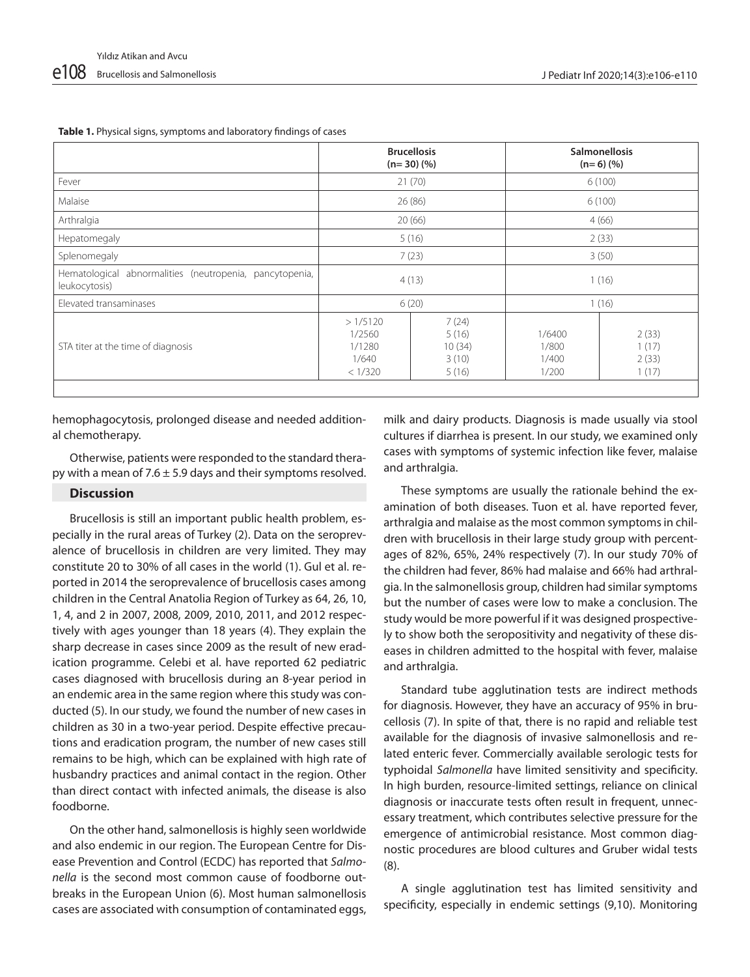|  |  |  |  | <b>Table 1.</b> Physical signs, symptoms and laboratory findings of cases |
|--|--|--|--|---------------------------------------------------------------------------|
|--|--|--|--|---------------------------------------------------------------------------|

|                                                                          | <b>Brucellosis</b><br>$(n=30)(%$                |                                            | <b>Salmonellosis</b><br>$(n=6)$ (%) |                                  |
|--------------------------------------------------------------------------|-------------------------------------------------|--------------------------------------------|-------------------------------------|----------------------------------|
| Fever                                                                    | 21(70)                                          |                                            | 6(100)                              |                                  |
| <b>Malaise</b>                                                           | 26(86)                                          |                                            | 6(100)                              |                                  |
| Arthralgia                                                               | 20(66)                                          |                                            | 4(66)                               |                                  |
| Hepatomegaly                                                             | 5(16)                                           |                                            | 2(33)                               |                                  |
| Splenomegaly                                                             | 7(23)                                           |                                            | 3(50)                               |                                  |
| Hematological abnormalities (neutropenia, pancytopenia,<br>leukocytosis) | 4(13)                                           |                                            | 1(16)                               |                                  |
| Elevated transaminases                                                   | 6(20)                                           |                                            | 1(16)                               |                                  |
| STA titer at the time of diagnosis                                       | >1/5120<br>1/2560<br>1/1280<br>1/640<br>< 1/320 | 7(24)<br>5(16)<br>10(34)<br>3(10)<br>5(16) | 1/6400<br>1/800<br>1/400<br>1/200   | 2(33)<br>1(17)<br>2(33)<br>1(17) |
|                                                                          |                                                 |                                            |                                     |                                  |

hemophagocytosis, prolonged disease and needed additional chemotherapy.

Otherwise, patients were responded to the standard therapy with a mean of 7.6  $\pm$  5.9 days and their symptoms resolved.

## **Discussion**

Brucellosis is still an important public health problem, especially in the rural areas of Turkey (2). Data on the seroprevalence of brucellosis in children are very limited. They may constitute 20 to 30% of all cases in the world (1). Gul et al. reported in 2014 the seroprevalence of brucellosis cases among children in the Central Anatolia Region of Turkey as 64, 26, 10, 1, 4, and 2 in 2007, 2008, 2009, 2010, 2011, and 2012 respectively with ages younger than 18 years (4). They explain the sharp decrease in cases since 2009 as the result of new eradication programme. Celebi et al. have reported 62 pediatric cases diagnosed with brucellosis during an 8-year period in an endemic area in the same region where this study was conducted (5). In our study, we found the number of new cases in children as 30 in a two-year period. Despite effective precautions and eradication program, the number of new cases still remains to be high, which can be explained with high rate of husbandry practices and animal contact in the region. Other than direct contact with infected animals, the disease is also foodborne.

On the other hand, salmonellosis is highly seen worldwide and also endemic in our region. The European Centre for Disease Prevention and Control (ECDC) has reported that *Salmonella* is the second most common cause of foodborne outbreaks in the European Union (6). Most human salmonellosis cases are associated with consumption of contaminated eggs,

milk and dairy products. Diagnosis is made usually via stool cultures if diarrhea is present. In our study, we examined only cases with symptoms of systemic infection like fever, malaise and arthralgia.

These symptoms are usually the rationale behind the examination of both diseases. Tuon et al. have reported fever, arthralgia and malaise as the most common symptoms in children with brucellosis in their large study group with percentages of 82%, 65%, 24% respectively (7). In our study 70% of the children had fever, 86% had malaise and 66% had arthralgia. In the salmonellosis group, children had similar symptoms but the number of cases were low to make a conclusion. The study would be more powerful if it was designed prospectively to show both the seropositivity and negativity of these diseases in children admitted to the hospital with fever, malaise and arthralgia.

Standard tube agglutination tests are indirect methods for diagnosis. However, they have an accuracy of 95% in brucellosis (7). In spite of that, there is no rapid and reliable test available for the diagnosis of invasive salmonellosis and related enteric fever. Commercially available serologic tests for typhoidal *Salmonella* have limited sensitivity and specificity. In high burden, resource-limited settings, reliance on clinical diagnosis or inaccurate tests often result in frequent, unnecessary treatment, which contributes selective pressure for the emergence of antimicrobial resistance. Most common diagnostic procedures are blood cultures and Gruber widal tests (8).

A single agglutination test has limited sensitivity and specificity, especially in endemic settings (9,10). Monitoring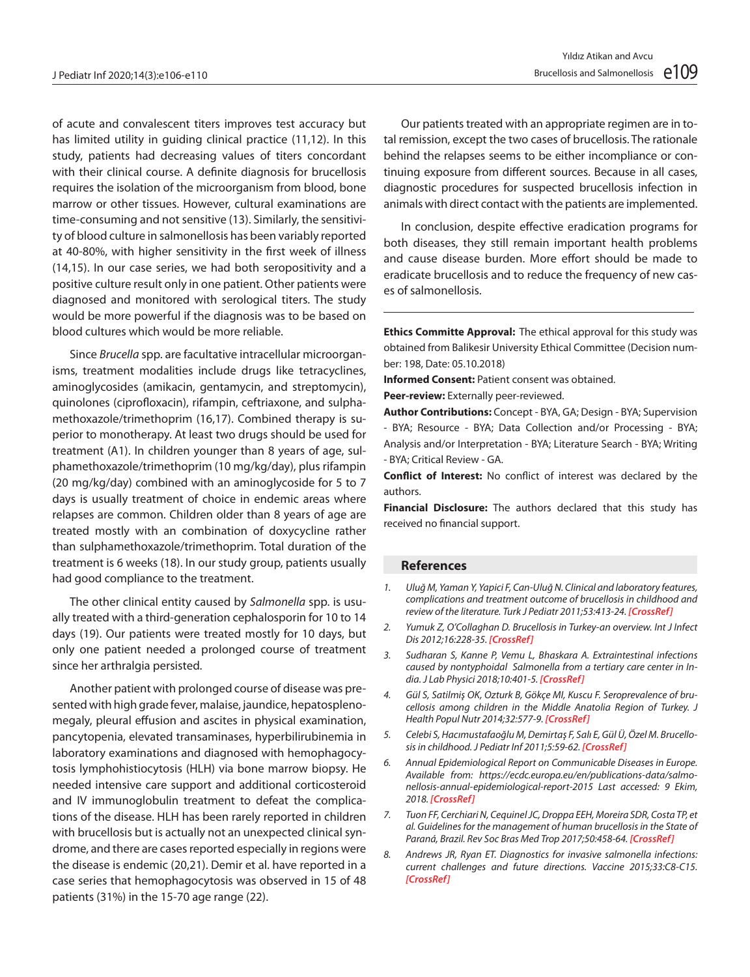of acute and convalescent titers improves test accuracy but has limited utility in guiding clinical practice (11,12). In this study, patients had decreasing values of titers concordant with their clinical course. A definite diagnosis for brucellosis requires the isolation of the microorganism from blood, bone marrow or other tissues. However, cultural examinations are time-consuming and not sensitive (13). Similarly, the sensitivity of blood culture in salmonellosis has been variably reported at 40-80%, with higher sensitivity in the first week of illness (14,15). In our case series, we had both seropositivity and a positive culture result only in one patient. Other patients were diagnosed and monitored with serological titers. The study would be more powerful if the diagnosis was to be based on blood cultures which would be more reliable.

Since *Brucella* spp. are facultative intracellular microorganisms, treatment modalities include drugs like tetracyclines, aminoglycosides (amikacin, gentamycin, and streptomycin), quinolones (ciprofloxacin), rifampin, ceftriaxone, and sulphamethoxazole/trimethoprim (16,17). Combined therapy is superior to monotherapy. At least two drugs should be used for treatment (A1). In children younger than 8 years of age, sulphamethoxazole/trimethoprim (10 mg/kg/day), plus rifampin (20 mg/kg/day) combined with an aminoglycoside for 5 to 7 days is usually treatment of choice in endemic areas where relapses are common. Children older than 8 years of age are treated mostly with an combination of doxycycline rather than sulphamethoxazole/trimethoprim. Total duration of the treatment is 6 weeks (18). In our study group, patients usually had good compliance to the treatment.

The other clinical entity caused by *Salmonella* spp. is usually treated with a third-generation cephalosporin for 10 to 14 days (19). Our patients were treated mostly for 10 days, but only one patient needed a prolonged course of treatment since her arthralgia persisted.

Another patient with prolonged course of disease was presented with high grade fever, malaise, jaundice, hepatosplenomegaly, pleural effusion and ascites in physical examination, pancytopenia, elevated transaminases, hyperbilirubinemia in laboratory examinations and diagnosed with hemophagocytosis lymphohistiocytosis (HLH) via bone marrow biopsy. He needed intensive care support and additional corticosteroid and IV immunoglobulin treatment to defeat the complications of the disease. HLH has been rarely reported in children with brucellosis but is actually not an unexpected clinical syndrome, and there are cases reported especially in regions were the disease is endemic (20,21). Demir et al. have reported in a case series that hemophagocytosis was observed in 15 of 48 patients (31%) in the 15-70 age range (22).

Our patients treated with an appropriate regimen are in total remission, except the two cases of brucellosis. The rationale behind the relapses seems to be either incompliance or continuing exposure from different sources. Because in all cases, diagnostic procedures for suspected brucellosis infection in animals with direct contact with the patients are implemented.

In conclusion, despite effective eradication programs for both diseases, they still remain important health problems and cause disease burden. More effort should be made to eradicate brucellosis and to reduce the frequency of new cases of salmonellosis.

**Ethics Committe Approval:** The ethical approval for this study was obtained from Balikesir University Ethical Committee (Decision number: 198, Date: 05.10.2018)

**Informed Consent:** Patient consent was obtained.

**Peer-review:** Externally peer-reviewed.

**Author Contributions:** Concept - BYA, GA; Design - BYA; Supervision - BYA; Resource - BYA; Data Collection and/or Processing - BYA; Analysis and/or Interpretation - BYA; Literature Search - BYA; Writing - BYA; Critical Review - GA.

**Conflict of Interest:** No conflict of interest was declared by the authors.

**Financial Disclosure:** The authors declared that this study has received no financial support.

#### **References**

l

- *1. Uluğ M, Yaman Y, Yapici F, Can-Uluğ N. Clinical and laboratory features, complications and treatment outcome of brucellosis in childhood and review of the literature. Turk J Pediatr 2011;53:413-24. [CrossRef]*
- *2. Yumuk Z, O'Collaghan D. Brucellosis in Turkey-an overview. Int J Infect Dis 2012;16:228-35. [\[CrossRef\]](https://doi.org/10.1016/j.ijid.2011.12.011)*
- *3. Sudharan S, Kanne P, Vemu L, Bhaskara A. Extraintestinal infections caused by nontyphoidal Salmonella from a tertiary care center in India. J Lab Physici 2018;10:401-5. [\[CrossRef\]](https://doi.org/10.4103/jlp.jlp_79_18)*
- *4. Gül S, Satilmiş OK, Ozturk B, Gökçe MI, Kuscu F. Seroprevalence of brucellosis among children in the Middle Anatolia Region of Turkey. J Health Popul Nutr 2014;32:577-9. [CrossRef]*
- *5. Celebi S, Hacımustafaoğlu M, Demirtaş F, Salı E, Gül Ü, Özel M. Brucellosis in childhood. J Pediatr Inf 2011;5:59-62. [\[CrossRef\]](https://doi.org/10.5152/ced.2011.23)*
- *6. Annual Epidemiological Report on Communicable Diseases in Europe. Available from: https://ecdc.europa.eu/en/publications-data/salmonellosis-annual-epidemiological-report-2015 Last accessed: 9 Ekim, 2018. [CrossRef]*
- *7. Tuon FF, Cerchiari N, Cequinel JC,Droppa EEH, Moreira SDR, Costa TP, et al. Guidelines for the management of human brucellosisin the State of Paraná, Brazil. Rev Soc Bras Med Trop 2017;50:458-64. [\[CrossRef\]](https://doi.org/10.1590/0037-8682-0319-2016)*
- *8. Andrews JR, Ryan ET. Diagnostics for invasive salmonella infections: current challenges and future directions. Vaccine 2015;33:C8-C15. [\[CrossRef\]](https://doi.org/10.1016/j.vaccine.2015.02.030)*